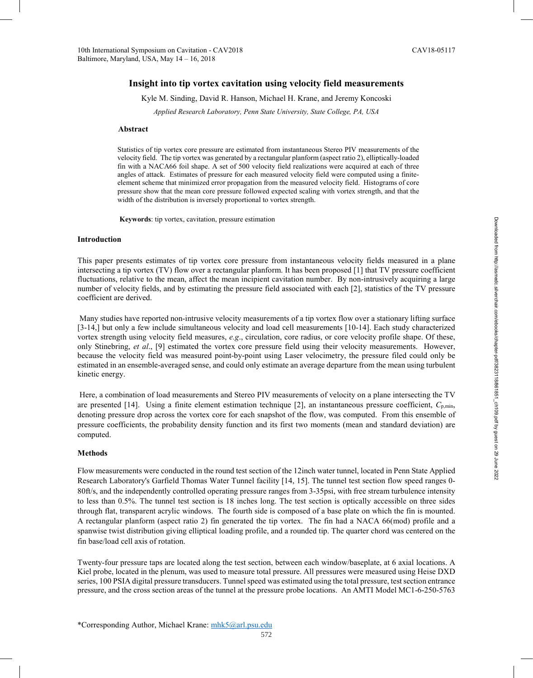# **Insight into tip vortex cavitation using velocity field measurements**

Kyle M. Sinding, David R. Hanson, Michael H. Krane, and Jeremy Koncoski

*Applied Research Laboratory, Penn State University, State College, PA, USA* 

### **Abstract**

Statistics of tip vortex core pressure are estimated from instantaneous Stereo PIV measurements of the velocity field. The tip vortex was generated by a rectangular planform (aspect ratio 2), elliptically-loaded fin with a NACA66 foil shape. A set of 500 velocity field realizations were acquired at each of three angles of attack. Estimates of pressure for each measured velocity field were computed using a finiteelement scheme that minimized error propagation from the measured velocity field. Histograms of core pressure show that the mean core pressure followed expected scaling with vortex strength, and that the width of the distribution is inversely proportional to vortex strength.

**Keywords**: tip vortex, cavitation, pressure estimation

### **Introduction**

This paper presents estimates of tip vortex core pressure from instantaneous velocity fields measured in a plane intersecting a tip vortex (TV) flow over a rectangular planform. It has been proposed [1] that TV pressure coefficient fluctuations, relative to the mean, affect the mean incipient cavitation number. By non-intrusively acquiring a large number of velocity fields, and by estimating the pressure field associated with each [2], statistics of the TV pressure coefficient are derived.

Many studies have reported non-intrusive velocity measurements of a tip vortex flow over a stationary lifting surface [3-14,] but only a few include simultaneous velocity and load cell measurements [10-14]. Each study characterized vortex strength using velocity field measures, *e.g*., circulation, core radius, or core velocity profile shape. Of these, only Stinebring, *et al*., [9] estimated the vortex core pressure field using their velocity measurements. However, because the velocity field was measured point-by-point using Laser velocimetry, the pressure filed could only be estimated in an ensemble-averaged sense, and could only estimate an average departure from the mean using turbulent kinetic energy.

Here, a combination of load measurements and Stereo PIV measurements of velocity on a plane intersecting the TV are presented [14]. Using a finite element estimation technique [2], an instantaneous pressure coefficient, *C*p,min, denoting pressure drop across the vortex core for each snapshot of the flow, was computed. From this ensemble of pressure coefficients, the probability density function and its first two moments (mean and standard deviation) are computed.

## **Methods**

Flow measurements were conducted in the round test section of the 12inch water tunnel, located in Penn State Applied Research Laboratory's Garfield Thomas Water Tunnel facility [14, 15]. The tunnel test section flow speed ranges 0- 80ft/s, and the independently controlled operating pressure ranges from 3-35psi, with free stream turbulence intensity to less than 0.5%. The tunnel test section is 18 inches long. The test section is optically accessible on three sides through flat, transparent acrylic windows. The fourth side is composed of a base plate on which the fin is mounted. A rectangular planform (aspect ratio 2) fin generated the tip vortex. The fin had a NACA 66(mod) profile and a spanwise twist distribution giving elliptical loading profile, and a rounded tip. The quarter chord was centered on the fin base/load cell axis of rotation.

Twenty-four pressure taps are located along the test section, between each window/baseplate, at 6 axial locations. A Kiel probe, located in the plenum, was used to measure total pressure. All pressures were measured using Heise DXD series, 100 PSIA digital pressure transducers. Tunnel speed was estimated using the total pressure, test section entrance pressure, and the cross section areas of the tunnel at the pressure probe locations. An AMTI Model MC1-6-250-5763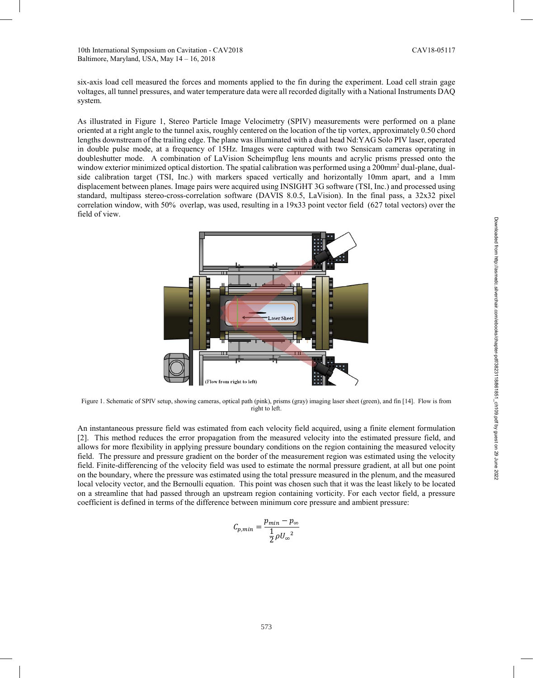six-axis load cell measured the forces and moments applied to the fin during the experiment. Load cell strain gage voltages, all tunnel pressures, and water temperature data were all recorded digitally with a National Instruments DAQ system.

As illustrated in Figure 1, Stereo Particle Image Velocimetry (SPIV) measurements were performed on a plane oriented at a right angle to the tunnel axis, roughly centered on the location of the tip vortex, approximately 0.50 chord lengths downstream of the trailing edge. The plane was illuminated with a dual head Nd:YAG Solo PIV laser, operated in double pulse mode, at a frequency of 15Hz. Images were captured with two Sensicam cameras operating in doubleshutter mode. A combination of LaVision Scheimpflug lens mounts and acrylic prisms pressed onto the window exterior minimized optical distortion. The spatial calibration was performed using a 200mm<sup>2</sup> dual-plane, dualside calibration target (TSI, Inc.) with markers spaced vertically and horizontally 10mm apart, and a 1mm displacement between planes. Image pairs were acquired using INSIGHT 3G software (TSI, Inc.) and processed using standard, multipass stereo-cross-correlation software (DAVIS 8.0.5, LaVision). In the final pass, a 32x32 pixel correlation window, with 50% overlap, was used, resulting in a 19x33 point vector field (627 total vectors) over the field of view.



Figure 1. Schematic of SPIV setup, showing cameras, optical path (pink), prisms (gray) imaging laser sheet (green), and fin [14]. Flow is from right to left.

An instantaneous pressure field was estimated from each velocity field acquired, using a finite element formulation [2]. This method reduces the error propagation from the measured velocity into the estimated pressure field, and allows for more flexibility in applying pressure boundary conditions on the region containing the measured velocity field. The pressure and pressure gradient on the border of the measurement region was estimated using the velocity field. Finite-differencing of the velocity field was used to estimate the normal pressure gradient, at all but one point on the boundary, where the pressure was estimated using the total pressure measured in the plenum, and the measured local velocity vector, and the Bernoulli equation. This point was chosen such that it was the least likely to be located on a streamline that had passed through an upstream region containing vorticity. For each vector field, a pressure coefficient is defined in terms of the difference between minimum core pressure and ambient pressure:

$$
C_{p,min} = \frac{p_{min} - p_{\infty}}{\frac{1}{2}\rho {U_{\infty}}^2}
$$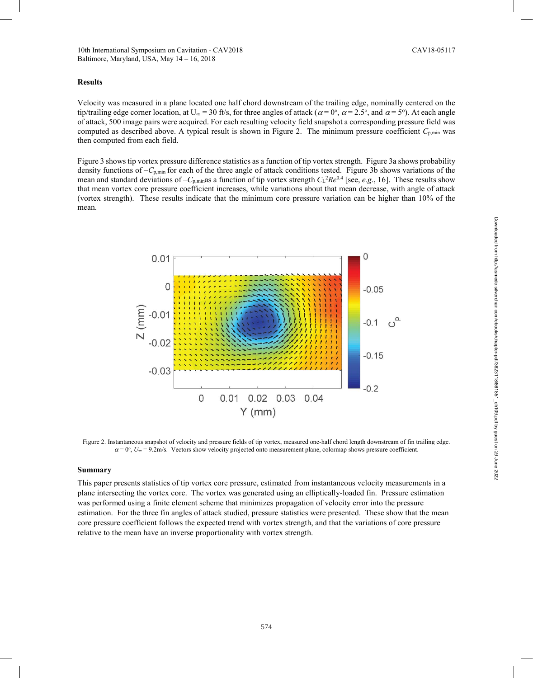### **Results**

Velocity was measured in a plane located one half chord downstream of the trailing edge, nominally centered on the tip/trailing edge corner location, at U<sub>∞</sub> = 30 ft/s, for three angles of attack ( $\alpha$  = 0°,  $\alpha$  = 2.5°, and  $\alpha$  = 5°). At each angle of attack, 500 image pairs were acquired. For each resulting velocity field snapshot a corresponding pressure field was computed as described above. A typical result is shown in Figure 2. The minimum pressure coefficient  $C_{p,\text{min}}$  was then computed from each field.

Figure 3 shows tip vortex pressure difference statistics as a function of tip vortex strength. Figure 3a shows probability density functions of –*C*<sub>p,min</sub> for each of the three angle of attack conditions tested. Figure 3b shows variations of the mean and standard deviations of  $-C_{p,min}$  as a function of tip vortex strength  $C_{L}^{2}Re^{0.4}$  [see, *e.g.*, 16]. These results show that mean vortex core pressure coefficient increases, while variations about that mean decrease, with angle of attack (vortex strength). These results indicate that the minimum core pressure variation can be higher than 10% of the mean.



Figure 2. Instantaneous snapshot of velocity and pressure fields of tip vortex, measured one-half chord length downstream of fin trailing edge.  $\alpha$  = 0°,  $U_{\infty}$  = 9.2m/s. Vectors show velocity projected onto measurement plane, colormap shows pressure coefficient.

### **Summary**

This paper presents statistics of tip vortex core pressure, estimated from instantaneous velocity measurements in a plane intersecting the vortex core. The vortex was generated using an elliptically-loaded fin. Pressure estimation was performed using a finite element scheme that minimizes propagation of velocity error into the pressure estimation. For the three fin angles of attack studied, pressure statistics were presented. These show that the mean core pressure coefficient follows the expected trend with vortex strength, and that the variations of core pressure relative to the mean have an inverse proportionality with vortex strength.